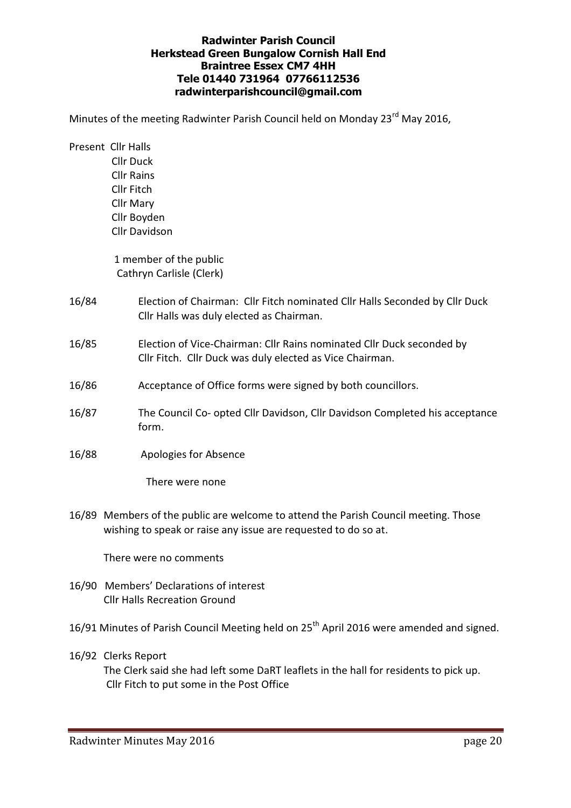## Radwinter Parish Council Herkstead Green Bungalow Cornish Hall End Braintree Essex CM7 4HH Tele 01440 731964 07766112536 radwinterparishcouncil@gmail.com

Minutes of the meeting Radwinter Parish Council held on Monday 23<sup>rd</sup> May 2016,

Present Cllr Halls Cllr Duck Cllr Rains Cllr Fitch Cllr Mary Cllr Boyden Cllr Davidson

> 1 member of the public Cathryn Carlisle (Clerk)

- 16/84 Election of Chairman: Cllr Fitch nominated Cllr Halls Seconded by Cllr Duck Cllr Halls was duly elected as Chairman.
- 16/85 Election of Vice-Chairman: Cllr Rains nominated Cllr Duck seconded by Cllr Fitch. Cllr Duck was duly elected as Vice Chairman.
- 16/86 Acceptance of Office forms were signed by both councillors.
- 16/87 The Council Co- opted Cllr Davidson, Cllr Davidson Completed his acceptance form.
- 16/88 Apologies for Absence

There were none

16/89 Members of the public are welcome to attend the Parish Council meeting. Those wishing to speak or raise any issue are requested to do so at.

There were no comments

- 16/90 Members' Declarations of interest Cllr Halls Recreation Ground
- 16/91 Minutes of Parish Council Meeting held on 25<sup>th</sup> April 2016 were amended and signed.
- 16/92 Clerks Report

 The Clerk said she had left some DaRT leaflets in the hall for residents to pick up. Cllr Fitch to put some in the Post Office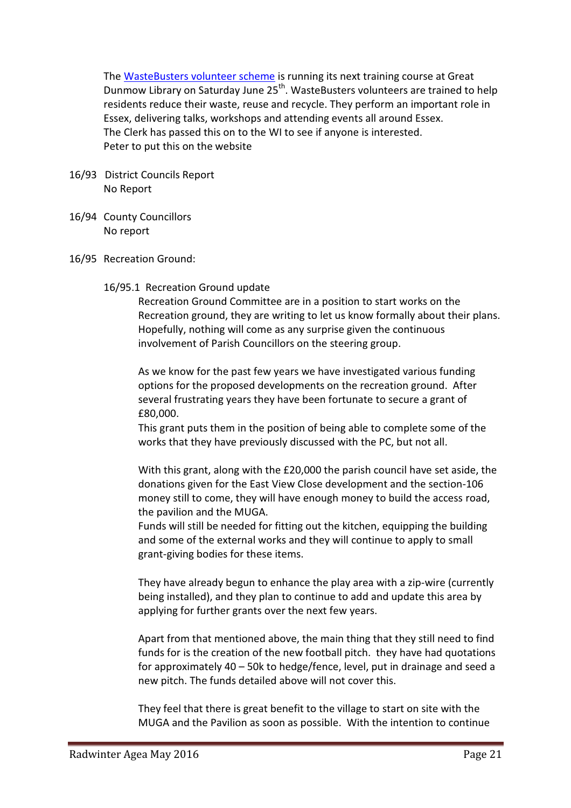The WasteBusters volunteer scheme is running its next training course at Great Dunmow Library on Saturday June 25<sup>th</sup>. WasteBusters volunteers are trained to help residents reduce their waste, reuse and recycle. They perform an important role in Essex, delivering talks, workshops and attending events all around Essex. The Clerk has passed this on to the WI to see if anyone is interested. Peter to put this on the website

- 16/93 District Councils Report No Report
- 16/94 County Councillors No report
- 16/95 Recreation Ground:
	- 16/95.1 Recreation Ground update

Recreation Ground Committee are in a position to start works on the Recreation ground, they are writing to let us know formally about their plans. Hopefully, nothing will come as any surprise given the continuous involvement of Parish Councillors on the steering group.

As we know for the past few years we have investigated various funding options for the proposed developments on the recreation ground. After several frustrating years they have been fortunate to secure a grant of £80,000.

This grant puts them in the position of being able to complete some of the works that they have previously discussed with the PC, but not all.

With this grant, along with the £20,000 the parish council have set aside, the donations given for the East View Close development and the section-106 money still to come, they will have enough money to build the access road, the pavilion and the MUGA.

Funds will still be needed for fitting out the kitchen, equipping the building and some of the external works and they will continue to apply to small grant-giving bodies for these items.

They have already begun to enhance the play area with a zip-wire (currently being installed), and they plan to continue to add and update this area by applying for further grants over the next few years.

Apart from that mentioned above, the main thing that they still need to find funds for is the creation of the new football pitch. they have had quotations for approximately 40 – 50k to hedge/fence, level, put in drainage and seed a new pitch. The funds detailed above will not cover this.

They feel that there is great benefit to the village to start on site with the MUGA and the Pavilion as soon as possible. With the intention to continue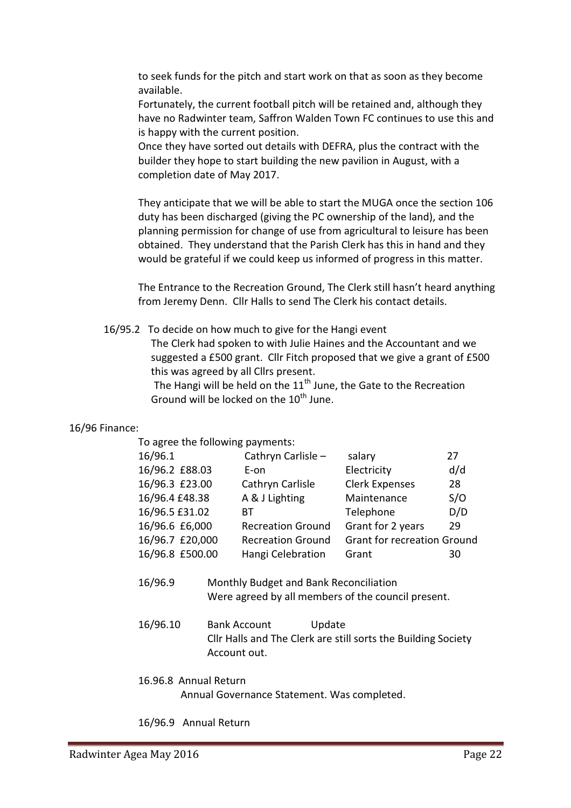to seek funds for the pitch and start work on that as soon as they become available.

Fortunately, the current football pitch will be retained and, although they have no Radwinter team, Saffron Walden Town FC continues to use this and is happy with the current position.

Once they have sorted out details with DEFRA, plus the contract with the builder they hope to start building the new pavilion in August, with a completion date of May 2017.

They anticipate that we will be able to start the MUGA once the section 106 duty has been discharged (giving the PC ownership of the land), and the planning permission for change of use from agricultural to leisure has been obtained. They understand that the Parish Clerk has this in hand and they would be grateful if we could keep us informed of progress in this matter.

The Entrance to the Recreation Ground, The Clerk still hasn't heard anything from Jeremy Denn. Cllr Halls to send The Clerk his contact details.

16/95.2 To decide on how much to give for the Hangi event

The Clerk had spoken to with Julie Haines and the Accountant and we suggested a £500 grant. Cllr Fitch proposed that we give a grant of £500 this was agreed by all Cllrs present.

The Hangi will be held on the  $11<sup>th</sup>$  June, the Gate to the Recreation Ground will be locked on the  $10^{th}$  June.

# 16/96 Finance:

To agree the following payments:

| 16/96.1         | Cathryn Carlisle -       | salary                             | 27  |
|-----------------|--------------------------|------------------------------------|-----|
| 16/96.2 £88.03  | E-on                     | Electricity                        | d/d |
| 16/96.3 £23.00  | Cathryn Carlisle         | <b>Clerk Expenses</b>              | 28  |
| 16/96.4 £48.38  | A & J Lighting           | Maintenance                        | S/O |
| 16/96.5 £31.02  | BТ                       | Telephone                          | D/D |
| 16/96.6 £6,000  | <b>Recreation Ground</b> | Grant for 2 years                  | 29  |
| 16/96.7 £20,000 | <b>Recreation Ground</b> | <b>Grant for recreation Ground</b> |     |
| 16/96.8 £500.00 | Hangi Celebration        | Grant                              | 30  |

- 16/96.9 Monthly Budget and Bank Reconciliation Were agreed by all members of the council present.
- 16/96.10 Bank Account Update Cllr Halls and The Clerk are still sorts the Building Society Account out.

### 16.96.8 Annual Return

Annual Governance Statement. Was completed.

16/96.9 Annual Return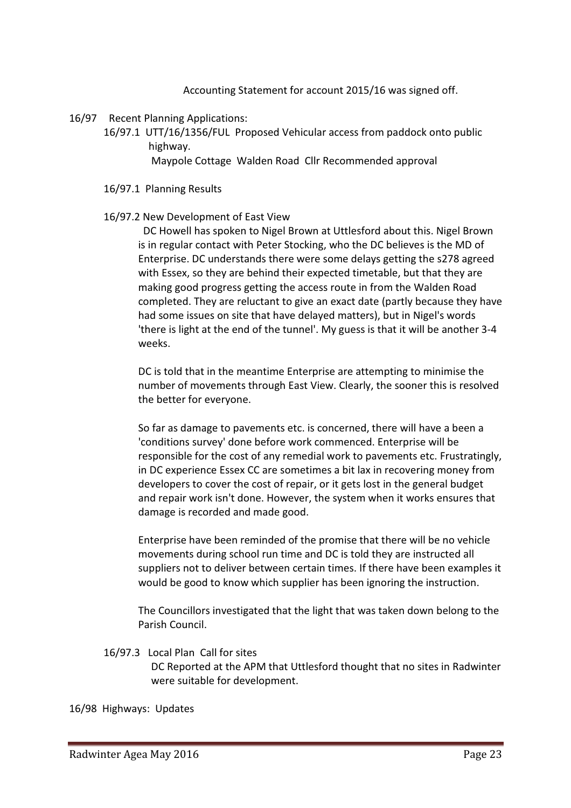Accounting Statement for account 2015/16 was signed off.

- 16/97 Recent Planning Applications:
	- 16/97.1 UTT/16/1356/FUL Proposed Vehicular access from paddock onto public highway.

Maypole Cottage Walden Road Cllr Recommended approval

- 16/97.1 Planning Results
- 16/97.2 New Development of East View

DC Howell has spoken to Nigel Brown at Uttlesford about this. Nigel Brown is in regular contact with Peter Stocking, who the DC believes is the MD of Enterprise. DC understands there were some delays getting the s278 agreed with Essex, so they are behind their expected timetable, but that they are making good progress getting the access route in from the Walden Road completed. They are reluctant to give an exact date (partly because they have had some issues on site that have delayed matters), but in Nigel's words 'there is light at the end of the tunnel'. My guess is that it will be another 3-4 weeks.

DC is told that in the meantime Enterprise are attempting to minimise the number of movements through East View. Clearly, the sooner this is resolved the better for everyone.

So far as damage to pavements etc. is concerned, there will have a been a 'conditions survey' done before work commenced. Enterprise will be responsible for the cost of any remedial work to pavements etc. Frustratingly, in DC experience Essex CC are sometimes a bit lax in recovering money from developers to cover the cost of repair, or it gets lost in the general budget and repair work isn't done. However, the system when it works ensures that damage is recorded and made good.

Enterprise have been reminded of the promise that there will be no vehicle movements during school run time and DC is told they are instructed all suppliers not to deliver between certain times. If there have been examples it would be good to know which supplier has been ignoring the instruction.

The Councillors investigated that the light that was taken down belong to the Parish Council.

16/97.3 Local Plan Call for sites

DC Reported at the APM that Uttlesford thought that no sites in Radwinter were suitable for development.

16/98 Highways: Updates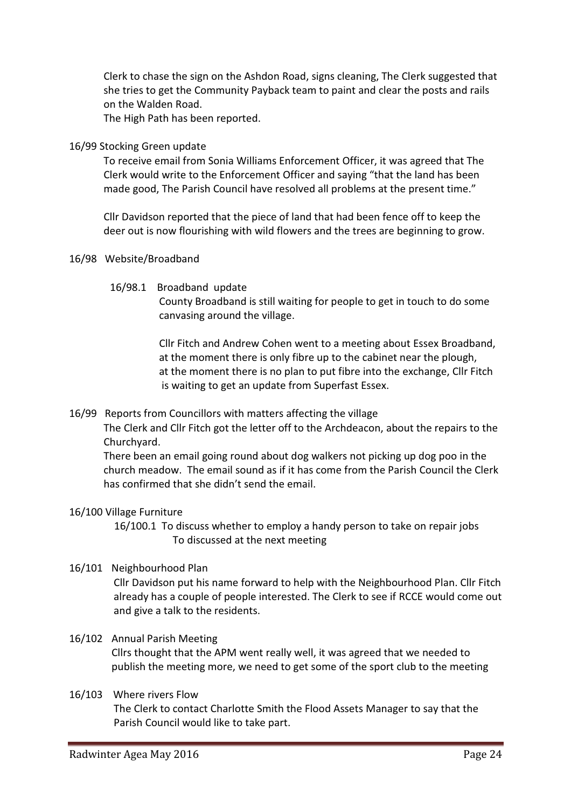Clerk to chase the sign on the Ashdon Road, signs cleaning, The Clerk suggested that she tries to get the Community Payback team to paint and clear the posts and rails on the Walden Road.

The High Path has been reported.

### 16/99 Stocking Green update

To receive email from Sonia Williams Enforcement Officer, it was agreed that The Clerk would write to the Enforcement Officer and saying "that the land has been made good, The Parish Council have resolved all problems at the present time."

Cllr Davidson reported that the piece of land that had been fence off to keep the deer out is now flourishing with wild flowers and the trees are beginning to grow.

- 16/98 Website/Broadband
	- 16/98.1 Broadband update

 County Broadband is still waiting for people to get in touch to do some canvasing around the village.

 Cllr Fitch and Andrew Cohen went to a meeting about Essex Broadband, at the moment there is only fibre up to the cabinet near the plough, at the moment there is no plan to put fibre into the exchange, Cllr Fitch is waiting to get an update from Superfast Essex.

# 16/99 Reports from Councillors with matters affecting the village

The Clerk and Cllr Fitch got the letter off to the Archdeacon, about the repairs to the Churchyard.

There been an email going round about dog walkers not picking up dog poo in the church meadow. The email sound as if it has come from the Parish Council the Clerk has confirmed that she didn't send the email.

# 16/100 Village Furniture

 16/100.1 To discuss whether to employ a handy person to take on repair jobs To discussed at the next meeting

# 16/101 Neighbourhood Plan

Cllr Davidson put his name forward to help with the Neighbourhood Plan. Cllr Fitch already has a couple of people interested. The Clerk to see if RCCE would come out and give a talk to the residents.

### 16/102 Annual Parish Meeting

Cllrs thought that the APM went really well, it was agreed that we needed to publish the meeting more, we need to get some of the sport club to the meeting

### 16/103 Where rivers Flow

The Clerk to contact Charlotte Smith the Flood Assets Manager to say that the Parish Council would like to take part.